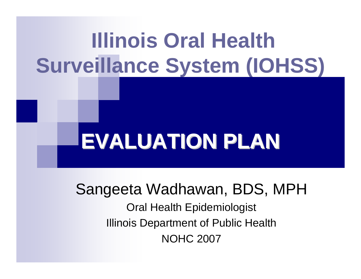# **Illinois Oral Health Surveillance System (IOHSS)**

# **EVALUATION PLAN EVALUATION PLAN**

Sangeeta Wadhawan, BDS, MPH

Oral Health Epidemiologist Illinois Department of Public Health NOHC 2007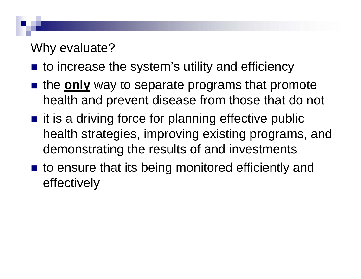## Why evaluate?

- to increase the system's utility and efficiency
- **n** the **only** way to separate programs that promote health and prevent disease from those that do not
- $\blacksquare$  it is a driving force for planning effective public health strategies, improving existing programs, and demonstrating the results of and investments
- to ensure that its being monitored efficiently and effectively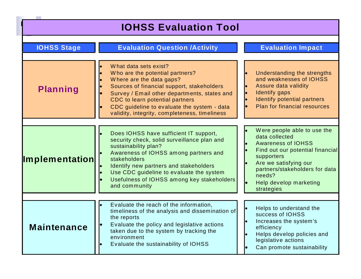| <b>IOHSS Evaluation Tool</b> |
|------------------------------|
|------------------------------|

 $\sim$ 

| <b>IOHSS Stage</b>    | <b>Evaluation Question /Activity</b>                                                                                                                                                                                                                                                                                        | <b>Evaluation Impact</b>                                                                                                                                                                                                                  |
|-----------------------|-----------------------------------------------------------------------------------------------------------------------------------------------------------------------------------------------------------------------------------------------------------------------------------------------------------------------------|-------------------------------------------------------------------------------------------------------------------------------------------------------------------------------------------------------------------------------------------|
|                       |                                                                                                                                                                                                                                                                                                                             |                                                                                                                                                                                                                                           |
| <b>Planning</b>       | What data sets exist?<br>Who are the potential partners?<br>Where are the data gaps?<br>Sources of financial support, stakeholders<br>Survey / Email other departments, states and<br>CDC to learn potential partners<br>CDC guideline to evaluate the system - data<br>validity, integrity, completeness, timeliness       | Understanding the strengths<br>and weaknesses of IOHSS<br>Assure data validity<br><b>Identify gaps</b><br>Identify potential partners<br><b>Plan for financial resources</b>                                                              |
|                       |                                                                                                                                                                                                                                                                                                                             |                                                                                                                                                                                                                                           |
| <b>Implementation</b> | Does IOHSS have sufficient IT support,<br>security check, solid surveillance plan and<br>sustainability plan?<br>Awareness of IOHSS among partners and<br>stakeholders<br>Identify new partners and stakeholders<br>Use CDC guideline to evaluate the system<br>Usefulness of IOHSS among key stakeholders<br>and community | Were people able to use the<br>data collected<br><b>Awareness of IOHSS</b><br>Find out our potential financial<br>supporters<br>Are we satisfying our<br>partners/stakeholders for data<br>needs?<br>Help develop marketing<br>strategies |
|                       |                                                                                                                                                                                                                                                                                                                             |                                                                                                                                                                                                                                           |
| <b>Maintenance</b>    | Evaluate the reach of the information,<br>timeliness of the analysis and dissemination of<br>the reports<br>Evaluate the policy and legislative actions<br>taken due to the system by tracking the<br>environment<br>Evaluate the sustainability of IOHSS                                                                   | Helps to understand the<br>success of IOHSS<br>Increases the system's<br>efficiency<br>Helps develop policies and<br>legislative actions<br>Can promote sustainability                                                                    |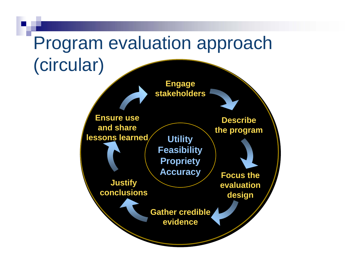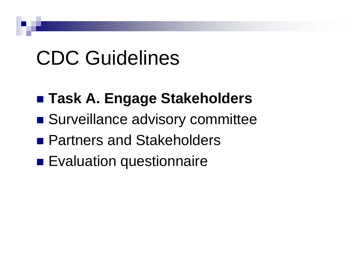# CDC Guidelines

# **Task A. Engage Stakeholders**

- **Surveillance advisory committee**
- Partners and Stakeholders
- **Exaluation questionnaire**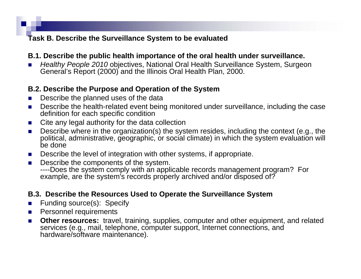### **Task B. Describe the Surveillance System to be evaluated**

### **B.1. Describe the public health importance of the oral health under surveillance.**

L *Healthy People 2010* objectives, National Oral Health Surveillance System, Surgeon General's Report (2000) and the Illinois Oral Health Plan, 2000.

### **B.2. Describe the Purpose and Operation of the System**

- L Describe the planned uses of the data
- $\mathcal{L}_{\mathcal{A}}$  Describe the health-related event being monitored under surveillance, including the case definition for each specific condition
- a a Cite any legal authority for the data collection
- $\mathcal{L}^{\mathcal{A}}$  Describe where in the organization(s) the system resides, including the context (e.g., the political, administrative, geographic, or social climate) in which the system evaluation will be done
- $\mathcal{L}=\frac{1}{2}$ Describe the level of integration with other systems, if appropriate.
- $\mathcal{L}_{\mathcal{A}}$  Describe the components of the system. ----Does the system comply with an applicable records management program? For example, are the system's records properly archived and/or disposed of?

### **B.3. Describe the Resources Used to Operate the Surveillance System**

- $\mathcal{L}_{\mathcal{A}}$ Funding source(s): Specify
- $\mathcal{L}_{\text{max}}$ Personnel requirements
- $\mathcal{L}^{\mathcal{A}}$  **Other resources:** travel, training, supplies, computer and other equipment, and related services (e.g., mail, telephone, computer support, Internet connections, and hardware/software maintenance).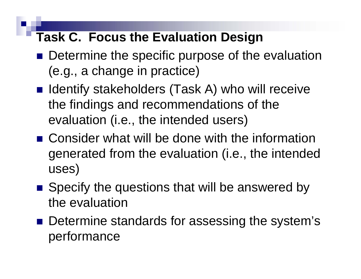# **Task C. Focus the Evaluation Design**

- **Determine the specific purpose of the evaluation** (e.g., a change in practice)
- Identify stakeholders (Task A) who will receive the findings and recommendations of the evaluation (i.e., the intended users)
- Consider what will be done with the information generated from the evaluation (i.e., the intended uses)
- Specify the questions that will be answered by the evaluation
- Determine standards for assessing the system's performance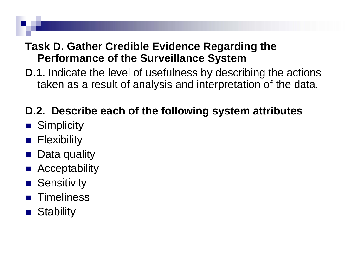### **Task D. Gather Credible Evidence Regarding the Performance of the Surveillance System**

**D.1.** Indicate the level of usefulness by describing the actions taken as a result of analysis and interpretation of the data.

# **D.2. Describe each of the following system attributes**

- **Simplicity**
- **Flexibility**
- P. Data quality
- **Acceptability**
- **B** Sensitivity
- M. **Timeliness**
- M. **Stability**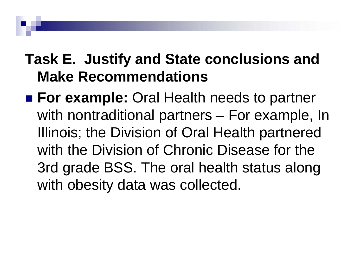# **Task E. Justify and State conclusions and Make Recommendations**

**For example:** Oral Health needs to partner with nontraditional partners – For example, In Illinois; the Division of Oral Health partnered with the Division of Chronic Disease for the 3rd grade BSS. The oral health status along with obesity data was collected.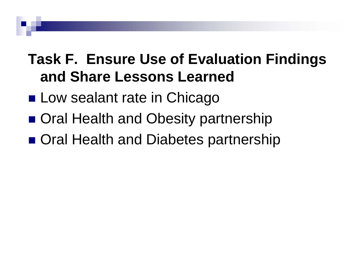# **Task F. Ensure Use of Evaluation Findings and Share Lessons Learned**

- **Low sealant rate in Chicago**
- Oral Health and Obesity partnership
- Oral Health and Diabetes partnership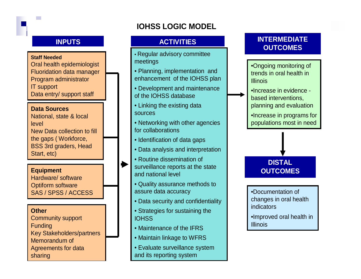### **IOHSS LOGIC MODEL**

### **INPUTS**

### **Staff Needed**

**Tara** 

Oral health epidemiologist Fluoridation data manager Program administrator IT support Data entry/ support staff

### **Data Sources**

National, state & local level New Data collection to fill the gaps ( Workforce, BSS 3rd graders, Head Start, etc)

Hardware/ softwareOptiform software SAS / SPSS / ACCESS

### **Other**

Community support **Funding** Key Stakeholders/partners Memorandum of Agreements for data sharing

- Regular advisory committee meetings
- Planning, implementation and enhancement of the IOHSS plan
- Development and maintenance of the IOHSS database
- Linking the existing data sources
- Networking with other agencies for collaborations
- Identification of data gaps
- Data analysis and interpretation
- Routine dissemination of
- **Equipment Equipment Equipment Equipment Equipment OUTCOMES** surveillance reports at the state and national level
	- Quality assurance methods to assure data accuracy
	- Data security and confidentiality
	- Strategies for sustaining the **IOHSS**
	- Maintenance of the IFRS
	- Maintain linkage to WFRS
	- Evaluate surveillance system and its reporting system

### **ACTIVITIES INTERMEDIATE OUTCOMES**

•Ongoing monitoring of trends in oral health in Illinois

•Increase in evidence based interventions, planning and evaluation

•Increase in programs for populations most in need

# **DISTAL**

•Documentation of changes in oral health indicators

•Improved oral health in **Illinois**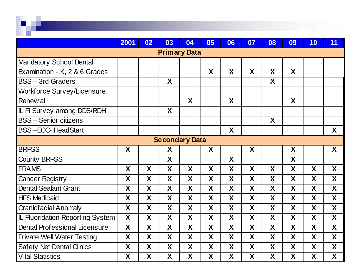|                                         | 2001             | 02 | 03 | 04                    | 05 | 06 | 07 | 08 | 09 | 10               | 11 |
|-----------------------------------------|------------------|----|----|-----------------------|----|----|----|----|----|------------------|----|
| <b>Primary Data</b>                     |                  |    |    |                       |    |    |    |    |    |                  |    |
| <b>Mandatory School Dental</b>          |                  |    |    |                       |    |    |    |    |    |                  |    |
| Examination - K, 2 & 6 Grades           |                  |    |    |                       | X  | X  | X  | X  | X  |                  |    |
| <b>BSS-3rd Graders</b>                  |                  |    | X  |                       |    |    |    | X  |    |                  |    |
| <b>Workforce Survey/Licensure</b>       |                  |    |    |                       |    |    |    |    |    |                  |    |
| Renew al                                |                  |    |    | X                     |    | X  |    |    | X  |                  |    |
| IL FI Survey among DDS/RDH              |                  |    | X  |                       |    |    |    |    |    |                  |    |
| <b>IBSS - Senior citizens</b>           |                  |    |    |                       |    |    |    | X  |    |                  |    |
| <b>BSS-ECC-HeadStart</b>                |                  |    |    |                       |    | X  |    |    |    |                  | X  |
|                                         |                  |    |    | <b>Secondary Data</b> |    |    |    |    |    |                  |    |
| <b>BRFSS</b>                            | X                |    | X  |                       | X  |    | X  |    | X  |                  | X  |
| <b>County BRFSS</b>                     |                  |    | X  |                       |    | X  |    |    | X  |                  |    |
| <b>PRAMS</b>                            | X                | X  | X  | X                     | X  | X  | X  | X  | X  | X                | X  |
| <b>Cancer Registry</b>                  | X                | X  | X  | X                     | X  | X  | X  | X  | X  | X                | X  |
| Dental Sealant Grant                    | X                | X  | X  | X                     | X  | X  | X  | X  | X  | X                | X  |
| <b>HFS Medicaid</b>                     | X                | X  | X  | X                     | X  | X  | X  | X  | X  | X                | X  |
| <b>Craniofacial Anomaly</b>             | X                | X  | X  | X                     | X  | X  | X  | X  | X  | X                | X  |
| <b>IL Fluoridation Reporting System</b> | $\boldsymbol{X}$ | X  | X  | $\boldsymbol{X}$      | X  | X  | X  | X  | X  | $\boldsymbol{X}$ | X  |
| Dental Professional Licensure           | X                | X  | X  | X                     | X  | X  | X  | X  | X  | X                | X  |
| <b>Private Well Water Testing</b>       | X                | X  | X  | X                     | X  | X  | X  | X  | X  | X                | X  |
| <b>Safety Net Dental Clinics</b>        | X                | X  | X  | X                     | X  | X  | X  | X  | X  | X                | X  |
| <b>Vital Statistics</b>                 | X                | X  | X  | X                     | X  | X  | X  | X  | X  | X                | X  |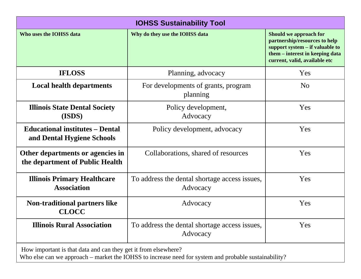| <b>IOHSS Sustainability Tool</b>                                                                                                                                       |                                                           |                                                                                                                                                                |  |  |  |
|------------------------------------------------------------------------------------------------------------------------------------------------------------------------|-----------------------------------------------------------|----------------------------------------------------------------------------------------------------------------------------------------------------------------|--|--|--|
| Who uses the IOHSS data                                                                                                                                                | Why do they use the IOHSS data                            | Should we approach for<br>partnership/resources to help<br>support system – if valuable to<br>them – interest in keeping data<br>current, valid, available etc |  |  |  |
| <b>IFLOSS</b>                                                                                                                                                          | Planning, advocacy                                        | Yes                                                                                                                                                            |  |  |  |
| <b>Local health departments</b>                                                                                                                                        | For developments of grants, program<br>planning           | N <sub>0</sub>                                                                                                                                                 |  |  |  |
| <b>Illinois State Dental Society</b><br>(ISDS)                                                                                                                         | Policy development,<br>Advocacy                           | Yes                                                                                                                                                            |  |  |  |
| <b>Educational institutes – Dental</b><br>and Dental Hygiene Schools                                                                                                   | Policy development, advocacy                              | Yes                                                                                                                                                            |  |  |  |
| Other departments or agencies in<br>the department of Public Health                                                                                                    | Collaborations, shared of resources                       | Yes                                                                                                                                                            |  |  |  |
| <b>Illinois Primary Healthcare</b><br><b>Association</b>                                                                                                               | To address the dental shortage access issues,<br>Advocacy | Yes                                                                                                                                                            |  |  |  |
| <b>Non-traditional partners like</b><br><b>CLOCC</b>                                                                                                                   | Advocacy                                                  | Yes                                                                                                                                                            |  |  |  |
| <b>Illinois Rural Association</b>                                                                                                                                      | To address the dental shortage access issues,<br>Advocacy | Yes                                                                                                                                                            |  |  |  |
| How important is that data and can they get it from elsewhere?<br>Who else can we approach – market the IOHSS to increase need for system and probable sustainability? |                                                           |                                                                                                                                                                |  |  |  |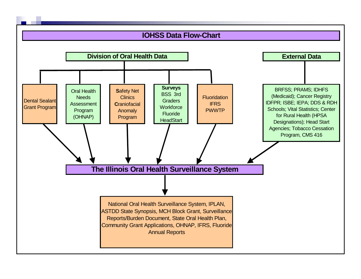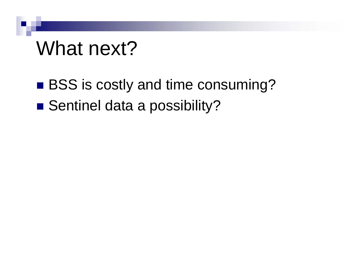# What next?

# ■ BSS is costly and time consuming?

■ Sentinel data a possibility?